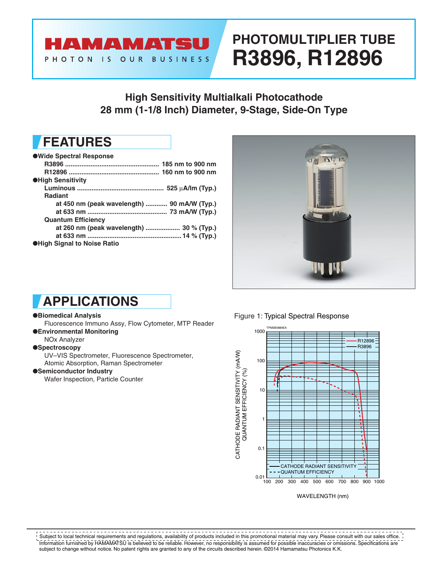#### HAMAMATSU PHOTON IS OUR **BUSINESS**

# **PHOTOMULTIPLIER TUBE R3896, R12896**

### **High Sensitivity Multialkali Photocathode 28 mm (1-1/8 Inch) Diameter, 9-Stage, Side-On Type**

### **FEATURES**

| ●Wide Spectral Response                     |  |
|---------------------------------------------|--|
|                                             |  |
|                                             |  |
| <b>OHigh Sensitivity</b>                    |  |
|                                             |  |
| <b>Radiant</b>                              |  |
| at 450 nm (peak wavelength)  90 mA/W (Typ.) |  |
|                                             |  |
| <b>Quantum Efficiency</b>                   |  |
| at 260 nm (peak wavelength)  30 % (Typ.)    |  |
|                                             |  |
| <b>OHigh Signal to Noise Ratio</b>          |  |



# **APPLICATIONS**

#### ●**Biomedical Analysis**

Fluorescence Immuno Assy, Flow Cytometer, MTP Reader ●**Environmental Monitoring**

NOx Analyzer

#### ●**Spectroscopy**

UV–VIS Spectrometer, Fluorescence Spectrometer, Atomic Absorption, Raman Spectrometer

#### ●**Semiconductor Industry**

Wafer Inspection, Particle Counter

#### Figure 1: Typical Spectral Response



WAVELENGTH (nm)

Information furnished by HAMAMATSU is believed to be reliable. However, no responsibility is assumed for possible inaccuracies or omissions. Specifications are subject to change without notice. No patent rights are granted to any of the circuits described herein. ©2014 Hamamatsu Photonics K.K.  $!$  Subject to local technical requirements and regulations, availability of products included in this promotional material may vary. Please consult with our sales office.  $\,$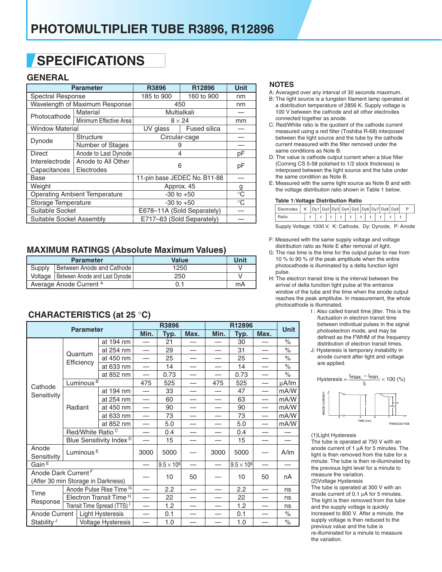# **SPECIFICATIONS**

#### **GENERAL**

|                                      | <b>Parameter</b>               | R3896                      | R12896                       | <b>Unit</b> |  |
|--------------------------------------|--------------------------------|----------------------------|------------------------------|-------------|--|
| <b>Spectral Response</b>             |                                | 185 to 900                 | 160 to 900                   | nm          |  |
|                                      | Wavelength of Maximum Response |                            | 450                          | nm          |  |
| Photocathode                         | Material                       | Multialkali                |                              |             |  |
|                                      | Minimum Effective Area         | $8 \times 24$              |                              | mm          |  |
| <b>Window Material</b>               |                                | UV glass                   | <b>Fused silica</b>          |             |  |
|                                      | Structure                      |                            | Circular-cage                |             |  |
| Dynode                               | Number of Stages               | 9                          |                              |             |  |
| <b>Direct</b>                        | Anode to Last Dynode           | 4                          |                              | pF          |  |
| Interelectrode                       | Anode to All Other             | 6                          |                              |             |  |
| Capacitances                         | Electrodes                     |                            |                              | pF          |  |
| Base                                 |                                |                            | 11-pin base JEDEC No. B11-88 |             |  |
| Weight                               |                                | Approx. 45                 | g                            |             |  |
| <b>Operating Ambient Temperature</b> |                                | $-30$ to $+50$             | $^{\circ}C$                  |             |  |
| Storage Temperature                  |                                | $-30$ to $+50$             | $^{\circ}C$                  |             |  |
| Suitable Socket                      |                                | E678-11A (Sold Separately) |                              |             |  |
| Suitable Socket Assembly             |                                | E717-63 (Sold Separately)  |                              |             |  |

#### **MAXIMUM RATINGS (Absolute Maximum Values)**

|                         | <b>Parameter</b>                        | <b>Value</b> | Unit |
|-------------------------|-----------------------------------------|--------------|------|
| Supply                  | Between Anode and Cathode               | 1250         |      |
|                         | Voltage   Between Anode and Last Dynode | 250          |      |
| Average Anode Current A |                                         |              | mA   |

#### **NOTES**

A: Averaged over any interval of 30 seconds maximum.

- B: The light source is a tungsten filament lamp operated at a distribution temperature of 2856 K. Supply voltage is 100 V between the cathode and all other electrodes connected together as anode.
- C: Red/White ratio is the quotient of the cathode current measured using a red filter (Toshiba R-68) interposed between the light source and the tube by the cathode current measured with the filter removed under the same conditions as Note B.
- D: The value is cathode output current when a blue filter (Corning CS 5-58 polished to 1/2 stock thickness) is interposed between the light source and the tube under the same condition as Note B.
- E: Measured with the same light source as Note B and with the voltage distribution ratio shown in Table 1 below.

| Table 1: Voltage Distribution Ratio                          |  |  |  |  |  |  |  |  |  |  |  |
|--------------------------------------------------------------|--|--|--|--|--|--|--|--|--|--|--|
| Electrodes   K $\vert$ Dy1 Dy2 Dy3 Dy4 Dy5 Dy6 Dy7 Dy8 Dy9 P |  |  |  |  |  |  |  |  |  |  |  |

SuppIy Voltage: 1000 V, K: Cathode, Dy: Dynode, P: Anode

F: Measured with the same supply voltage and voltage distribution ratio as Note E after removal of light.

| Ratio | 1 | 1 | 1 | 1 | 1 | 1 | 1 | 1

- G: The rise time is the time for the output pulse to rise from 10 % to 90 % of the peak amplitude when the entire photocathode is illuminated by a delta function light pulse.
- H: The electron transit time is the interval between the arrival of delta function light pulse at the entrance window of the tube and the time when the anode output reaches the peak amplitube. In measurement, the whole photocathode is illuminated.
	- I : Also called transit time jitter. This is the fluctuation in electron transit time between individual pulses in the signal photoelectron mode, and may be defined as the FWHM of the frequency distribution of electron transit times.
	- J: Hysteresis is temporary instability in anode current after light and voltage are applied.



#### (1)Light Hysteresis

The tube is operated at 750 V with an anode current of 1 µA for 5 minutes. The light is then removed from the tube for a minute. The tube is then re-illuminated by the previous light level for a minute to measure the variation. (2)Voltage Hysteresis

The tube is operated at 300 V with an anode current of 0.1 µA for 5 minutes. The light is then removed from the tube and the supply voltage is quickly increased to 800 V. After a minute, the supply voltage is then reduced to the previous value and the tube is re-illuminated for a minute to measure the variation.

### **CHARACTERISTlCS (at 25** °**C)**

|                                                                       |                              | <b>Parameter</b>                       |      | R3896               |      |      | R12896              |                          |             |  |
|-----------------------------------------------------------------------|------------------------------|----------------------------------------|------|---------------------|------|------|---------------------|--------------------------|-------------|--|
|                                                                       |                              |                                        | Min. | Typ.                | Max. | Min. | Typ.                | Max.                     | <b>Unit</b> |  |
|                                                                       |                              | at 194 nm                              |      | 21                  |      |      | 30                  |                          | $\%$        |  |
|                                                                       | Quantum                      | at 254 nm                              |      | 29                  |      |      | 31                  |                          | $\%$        |  |
|                                                                       | Efficiency                   | at 450 nm                              |      | 25                  |      |      | 25                  |                          | $\%$        |  |
|                                                                       |                              | at 633 nm                              |      | 14                  |      |      | 14                  |                          | $\%$        |  |
|                                                                       |                              | at 852 nm                              |      | 0.73                |      |      | 0.73                | $\overline{\phantom{0}}$ | $\%$        |  |
| Cathode                                                               | Luminous <sup>B</sup>        |                                        | 475  | 525                 |      | 475  | 525                 |                          | µA/lm       |  |
| Sensitivity                                                           |                              | at 194 nm                              |      | 33                  |      |      | 47                  |                          | mA/W        |  |
|                                                                       |                              | at 254 nm                              |      | 60                  |      |      | 63                  | $\overline{\phantom{0}}$ | mA/W        |  |
|                                                                       | Radiant                      | at 450 nm                              |      | 90                  |      |      | 90                  |                          | mA/W        |  |
|                                                                       |                              | at 633 nm                              |      | 73                  |      |      | 73                  |                          | mA/W        |  |
|                                                                       |                              | at 852 nm                              |      | 5.0                 |      |      | 5.0                 |                          | mA/W        |  |
|                                                                       | Red/White Ratio <sup>C</sup> |                                        |      | 0.4                 |      |      | 0.4                 |                          |             |  |
|                                                                       |                              | Blue Sensitivity Index <sup>D</sup>    |      | 15                  |      |      | 15                  |                          |             |  |
| Anode<br>Sensitivity                                                  | Luminous <sup>E</sup>        |                                        | 3000 | 5000                |      | 3000 | 5000                |                          | A/m         |  |
| Gain <sup>E</sup>                                                     |                              |                                        |      | $9.5 \times 10^{6}$ |      |      | $9.5 \times 10^{6}$ |                          |             |  |
| Anode Dark Current <sup>F</sup><br>(After 30 min Storage in Darkness) |                              |                                        | 10   | 50                  |      | 10   | 50                  | nA                       |             |  |
|                                                                       |                              | Anode Pulse Rise Time <sup>G</sup>     |      | 2.2                 |      |      | 2.2                 |                          | ns          |  |
| Time                                                                  |                              | Electron Transit Time <sup>H</sup>     |      | 22                  |      |      | 22                  |                          | ns          |  |
| Response                                                              |                              | Transit Time Spread (TTS) <sup>1</sup> |      | 1.2                 |      |      | 1.2                 |                          | ns          |  |
| Anode Current<br>Light Hysteresis                                     |                              |                                        | 0.1  |                     |      | 0.1  |                     | $\%$                     |             |  |
| Stability J<br>Voltage Hysteresis                                     |                              |                                        | 1.0  |                     |      | 1.0  |                     | $\%$                     |             |  |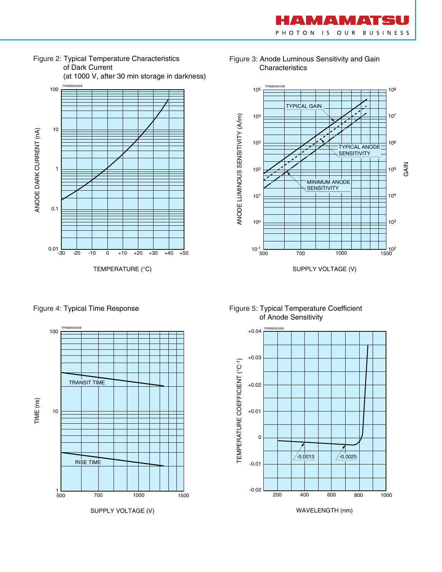



Figure 3: Anode Luminous Sensitivity and Gain Characteristics





Figure 4: Typical Time Response Figure 5: Typical Temperature Coefficient of Anode Sensitivity